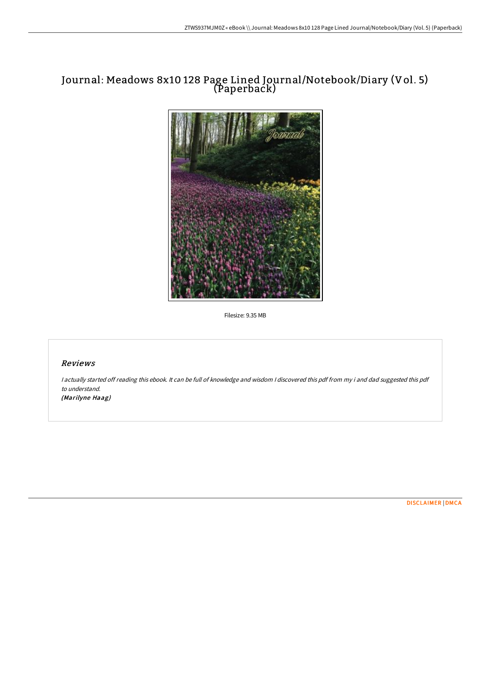# Journal: Meadows 8x10 128 Page Lined Journal/Notebook/Diary (Vol. 5) (Paperback)



Filesize: 9.35 MB

# Reviews

<sup>I</sup> actually started off reading this ebook. It can be full of knowledge and wisdom <sup>I</sup> discovered this pdf from my i and dad suggested this pdf to understand. (Marilyne Haag)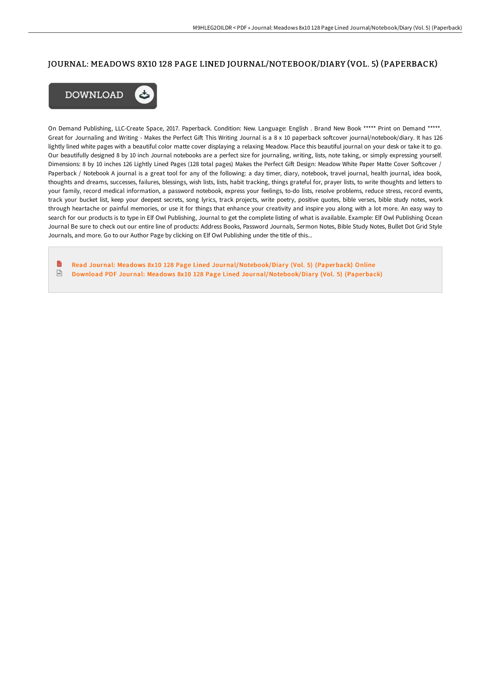## JOURNAL: MEADOWS 8X10 128 PAGE LINED JOURNAL/NOTEBOOK/DIARY (VOL. 5) (PAPERBACK)



On Demand Publishing, LLC-Create Space, 2017. Paperback. Condition: New. Language: English . Brand New Book \*\*\*\*\* Print on Demand \*\*\*\*\*. Great for Journaling and Writing - Makes the Perfect Gift This Writing Journal is a 8 x 10 paperback softcover journal/notebook/diary. It has 126 lightly lined white pages with a beautiful color matte cover displaying a relaxing Meadow. Place this beautiful journal on your desk or take it to go. Our beautifully designed 8 by 10 inch Journal notebooks are a perfect size for journaling, writing, lists, note taking, or simply expressing yourself. Dimensions: 8 by 10 inches 126 Lightly Lined Pages (128 total pages) Makes the Perfect Gift Design: Meadow White Paper Matte Cover Softcover / Paperback / Notebook A journal is a great tool for any of the following: a day timer, diary, notebook, travel journal, health journal, idea book, thoughts and dreams, successes, failures, blessings, wish lists, lists, habit tracking, things grateful for, prayer lists, to write thoughts and letters to your family, record medical information, a password notebook, express your feelings, to-do lists, resolve problems, reduce stress, record events, track your bucket list, keep your deepest secrets, song lyrics, track projects, write poetry, positive quotes, bible verses, bible study notes, work through heartache or painful memories, or use it for things that enhance your creativity and inspire you along with a lot more. An easy way to search for our products is to type in Elf Owl Publishing, Journal to get the complete listing of what is available. Example: Elf Owl Publishing Ocean Journal Be sure to check out our entire line of products: Address Books, Password Journals, Sermon Notes, Bible Study Notes, Bullet Dot Grid Style Journals, and more. Go to our Author Page by clicking on Elf Owl Publishing under the title of this...

B Read Journal: Meadows 8x10 128 Page Lined [Journal/Notebook/Diar](http://albedo.media/journal-meadows-8x10-128-page-lined-journal-x2f--3.html)y (Vol. 5) (Paperback) Online  $\frac{1}{100}$ Download PDF Journal: Meadows 8x10 128 Page Lined [Journal/Notebook/Diar](http://albedo.media/journal-meadows-8x10-128-page-lined-journal-x2f--3.html)y (Vol. 5) (Paperback)